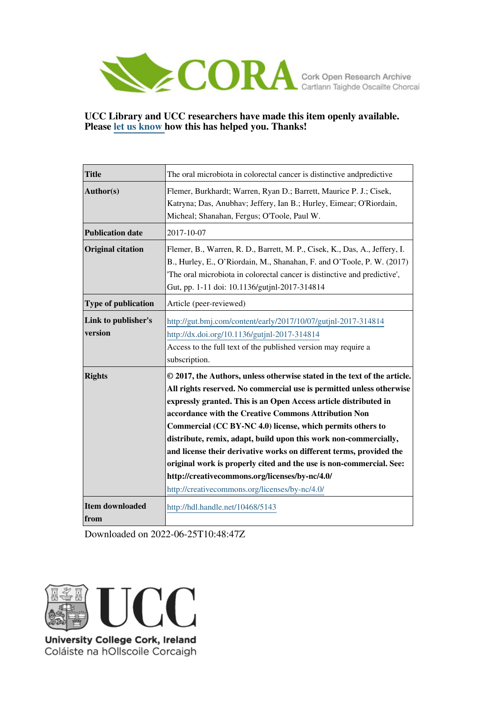

## **UCC Library and UCC researchers have made this item openly available. Please [let us know h](https://libguides.ucc.ie/openaccess/impact?suffix=5143&title=The oral microbiota in colorectal cancer is distinctive andpredictive)ow this has helped you. Thanks!**

| <b>Title</b>                   | The oral microbiota in colorectal cancer is distinctive andpredictive                                                                                                                                                                                                                                                                                                                                                                                                                                                                                                                                                                                            |
|--------------------------------|------------------------------------------------------------------------------------------------------------------------------------------------------------------------------------------------------------------------------------------------------------------------------------------------------------------------------------------------------------------------------------------------------------------------------------------------------------------------------------------------------------------------------------------------------------------------------------------------------------------------------------------------------------------|
| Author(s)                      | Flemer, Burkhardt; Warren, Ryan D.; Barrett, Maurice P. J.; Cisek,<br>Katryna; Das, Anubhav; Jeffery, Ian B.; Hurley, Eimear; O'Riordain,<br>Micheal; Shanahan, Fergus; O'Toole, Paul W.                                                                                                                                                                                                                                                                                                                                                                                                                                                                         |
| <b>Publication date</b>        | 2017-10-07                                                                                                                                                                                                                                                                                                                                                                                                                                                                                                                                                                                                                                                       |
| <b>Original citation</b>       | Flemer, B., Warren, R. D., Barrett, M. P., Cisek, K., Das, A., Jeffery, I.<br>B., Hurley, E., O'Riordain, M., Shanahan, F. and O'Toole, P. W. (2017)<br>The oral microbiota in colorectal cancer is distinctive and predictive',<br>Gut, pp. 1-11 doi: 10.1136/gutjnl-2017-314814                                                                                                                                                                                                                                                                                                                                                                                |
| <b>Type of publication</b>     | Article (peer-reviewed)                                                                                                                                                                                                                                                                                                                                                                                                                                                                                                                                                                                                                                          |
| Link to publisher's<br>version | http://gut.bmj.com/content/early/2017/10/07/gutjnl-2017-314814<br>http://dx.doi.org/10.1136/gutjnl-2017-314814<br>Access to the full text of the published version may require a<br>subscription.                                                                                                                                                                                                                                                                                                                                                                                                                                                                |
| <b>Rights</b>                  | © 2017, the Authors, unless otherwise stated in the text of the article.<br>All rights reserved. No commercial use is permitted unless otherwise<br>expressly granted. This is an Open Access article distributed in<br>accordance with the Creative Commons Attribution Non<br>Commercial (CC BY-NC 4.0) license, which permits others to<br>distribute, remix, adapt, build upon this work non-commercially,<br>and license their derivative works on different terms, provided the<br>original work is properly cited and the use is non-commercial. See:<br>http://creativecommons.org/licenses/by-nc/4.0/<br>http://creativecommons.org/licenses/by-nc/4.0/ |
| <b>Item downloaded</b><br>from | http://hdl.handle.net/10468/5143                                                                                                                                                                                                                                                                                                                                                                                                                                                                                                                                                                                                                                 |

Downloaded on 2022-06-25T10:48:47Z



Coláiste na hOllscoile Corcaigh